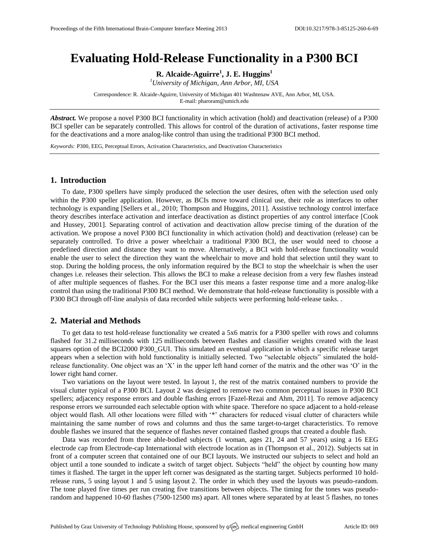# **Evaluating Hold-Release Functionality in a P300 BCI**

**R. Alcaide-Aguirre<sup>1</sup> , J. E. Huggins<sup>1</sup>**

*<sup>1</sup>University of Michigan, Ann Arbor, MI, USA*

Correspondence: R. Alcaide-Aguirre, University of Michigan 401 Washtenaw AVE, Ann Arbor, MI, USA. E-mail: [pharoram@umich.edu](mailto:pharoram@umich.edu)

*Abstract.* We propose a novel P300 BCI functionality in which activation (hold) and deactivation (release) of a P300 BCI speller can be separately controlled. This allows for control of the duration of activations, faster response time for the deactivations and a more analog-like control than using the traditional P300 BCI method.

*Keywords:* P300, EEG, Perceptual Errors, Activation Characteristics, and Deactivation Characteristics

## **1. Introduction**

To date, P300 spellers have simply produced the selection the user desires, often with the selection used only within the P300 speller application. However, as BCIs move toward clinical use, their role as interfaces to other technology is expanding [Sellers et al., 2010; Thompson and Huggins, 2011]. Assistive technology control interface theory describes interface activation and interface deactivation as distinct properties of any control interface [Cook and Hussey, 2001]. Separating control of activation and deactivation allow precise timing of the duration of the activation. We propose a novel P300 BCI functionality in which activation (hold) and deactivation (release) can be separately controlled. To drive a power wheelchair a traditional P300 BCI, the user would need to choose a predefined direction and distance they want to move. Alternatively, a BCI with hold-release functionality would enable the user to select the direction they want the wheelchair to move and hold that selection until they want to stop. During the holding process, the only information required by the BCI to stop the wheelchair is when the user changes i.e. releases their selection. This allows the BCI to make a release decision from a very few flashes instead of after multiple sequences of flashes. For the BCI user this means a faster response time and a more analog-like control than using the traditional P300 BCI method. We demonstrate that hold-release functionality is possible with a P300 BCI through off-line analysis of data recorded while subjects were performing hold-release tasks. .

## **2. Material and Methods**

To get data to test hold-release functionality we created a 5x6 matrix for a P300 speller with rows and columns flashed for 31.2 milliseconds with 125 milliseconds between flashes and classifier weights created with the least squares option of the BCI2000 P300\_GUI. This simulated an eventual application in which a specific release target appears when a selection with hold functionality is initially selected. Two "selectable objects" simulated the holdrelease functionality. One object was an 'X' in the upper left hand corner of the matrix and the other was 'O' in the lower right hand corner.

Two variations on the layout were tested. In layout 1, the rest of the matrix contained numbers to provide the visual clutter typical of a P300 BCI. Layout 2 was designed to remove two common perceptual issues in P300 BCI spellers; adjacency response errors and double flashing errors [Fazel-Rezai and Ahm, 2011]. To remove adjacency response errors we surrounded each selectable option with white space. Therefore no space adjacent to a hold-release object would flash. All other locations were filled with '\*' characters for reduced visual clutter of characters while maintaining the same number of rows and columns and thus the same target-to-target characteristics. To remove double flashes we insured that the sequence of flashes never contained flashed groups that created a double flash.

Data was recorded from three able-bodied subjects (1 woman, ages 21, 24 and 57 years) using a 16 EEG electrode cap from Electrode-cap International with electrode location as in (Thompson et al., 2012). Subjects sat in front of a computer screen that contained one of our BCI layouts. We instructed our subjects to select and hold an object until a tone sounded to indicate a switch of target object. Subjects "held" the object by counting how many times it flashed. The target in the upper left corner was designated as the starting target. Subjects performed 10 holdrelease runs, 5 using layout 1 and 5 using layout 2. The order in which they used the layouts was pseudo-random. The tone played five times per run creating five transitions between objects. The timing for the tones was pseudorandom and happened 10-60 flashes (7500-12500 ms) apart. All tones where separated by at least 5 flashes, no tones